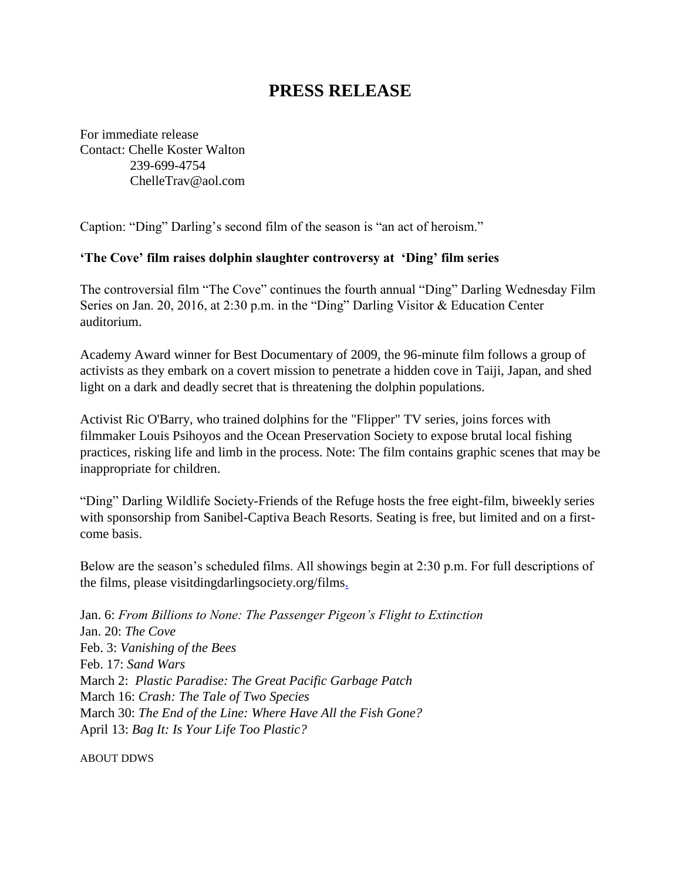## **PRESS RELEASE**

For immediate release Contact: Chelle Koster Walton 239-699-4754 [ChelleTrav@aol.com](mailto:ChelleTrav@aol.com)

Caption: "Ding" Darling's second film of the season is "an act of heroism."

## **'The Cove' film raises dolphin slaughter controversy at 'Ding' film series**

The controversial film "The Cove" continues the fourth annual "Ding" Darling Wednesday Film Series on Jan. 20, 2016, at 2:30 p.m. in the "Ding" Darling Visitor & Education Center auditorium.

Academy Award winner for Best Documentary of 2009, the 96-minute film follows a group of activists as they embark on a covert mission to penetrate a hidden cove in Taiji, Japan, and shed light on a dark and deadly secret that is threatening the dolphin populations.

Activist Ric O'Barry, who trained dolphins for the "Flipper" TV series, joins forces with filmmaker Louis Psihoyos and the Ocean Preservation Society to expose brutal local fishing practices, risking life and limb in the process. Note: The film contains graphic scenes that may be inappropriate for children.

"Ding" Darling Wildlife Society-Friends of the Refuge hosts the free eight-film, biweekly series with sponsorship from Sanibel-Captiva Beach Resorts. Seating is free, but limited and on a firstcome basis.

Below are the season's scheduled films. All showings begin at 2:30 p.m. For full descriptions of the films, please visi[tdingdarlingsociety.org/films.](http://www.dingdarlingsociety.org/films)

Jan. 6: *From Billions to None: The Passenger Pigeon's Flight to Extinction* Jan. 20: *The Cove* Feb. 3: *Vanishing of the Bees* Feb. 17: *Sand Wars* March 2: *Plastic Paradise: The Great Pacific Garbage Patch* March 16: *Crash: The Tale of Two Species* March 30: *The End of the Line: Where Have All the Fish Gone?* April 13: *Bag It: Is Your Life Too Plastic?*

ABOUT DDWS